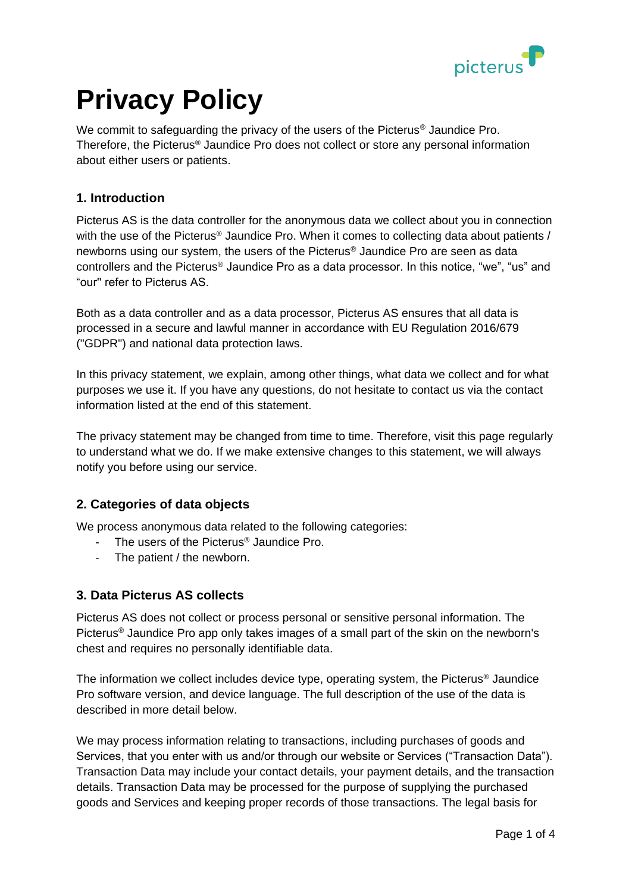

# **Privacy Policy**

We commit to safeguarding the privacy of the users of the Picterus<sup>®</sup> Jaundice Pro. Therefore, the Picterus® Jaundice Pro does not collect or store any personal information about either users or patients.

## **1. Introduction**

Picterus AS is the data controller for the anonymous data we collect about you in connection with the use of the Picterus<sup>®</sup> Jaundice Pro. When it comes to collecting data about patients / newborns using our system, the users of the Picterus® Jaundice Pro are seen as data controllers and the Picterus® Jaundice Pro as a data processor. In this notice, "we", "us" and "our'' refer to Picterus AS.

Both as a data controller and as a data processor, Picterus AS ensures that all data is processed in a secure and lawful manner in accordance with EU Regulation 2016/679 ("GDPR") and national data protection laws.

In this privacy statement, we explain, among other things, what data we collect and for what purposes we use it. If you have any questions, do not hesitate to contact us via the contact information listed at the end of this statement.

The privacy statement may be changed from time to time. Therefore, visit this page regularly to understand what we do. If we make extensive changes to this statement, we will always notify you before using our service.

# **2. Categories of data objects**

We process anonymous data related to the following categories:

- The users of the Picterus<sup>®</sup> Jaundice Pro.
- The patient / the newborn.

#### **3. Data Picterus AS collects**

Picterus AS does not collect or process personal or sensitive personal information. The Picterus® Jaundice Pro app only takes images of a small part of the skin on the newborn's chest and requires no personally identifiable data.

The information we collect includes device type, operating system, the Picterus® Jaundice Pro software version, and device language. The full description of the use of the data is described in more detail below.

We may process information relating to transactions, including purchases of goods and Services, that you enter with us and/or through our website or Services ("Transaction Data"). Transaction Data may include your contact details, your payment details, and the transaction details. Transaction Data may be processed for the purpose of supplying the purchased goods and Services and keeping proper records of those transactions. The legal basis for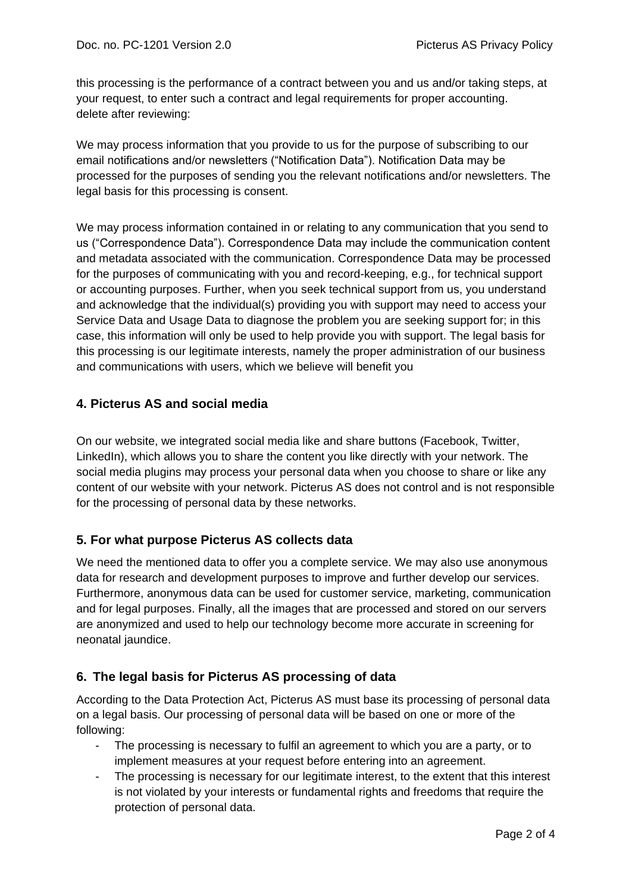this processing is the performance of a contract between you and us and/or taking steps, at your request, to enter such a contract and legal requirements for proper accounting. delete after reviewing:

We may process information that you provide to us for the purpose of subscribing to our email notifications and/or newsletters ("Notification Data"). Notification Data may be processed for the purposes of sending you the relevant notifications and/or newsletters. The legal basis for this processing is consent.

We may process information contained in or relating to any communication that you send to us ("Correspondence Data"). Correspondence Data may include the communication content and metadata associated with the communication. Correspondence Data may be processed for the purposes of communicating with you and record-keeping, e.g., for technical support or accounting purposes. Further, when you seek technical support from us, you understand and acknowledge that the individual(s) providing you with support may need to access your Service Data and Usage Data to diagnose the problem you are seeking support for; in this case, this information will only be used to help provide you with support. The legal basis for this processing is our legitimate interests, namely the proper administration of our business and communications with users, which we believe will benefit you

# **4. Picterus AS and social media**

On our website, we integrated social media like and share buttons (Facebook, Twitter, LinkedIn), which allows you to share the content you like directly with your network. The social media plugins may process your personal data when you choose to share or like any content of our website with your network. Picterus AS does not control and is not responsible for the processing of personal data by these networks.

# **5. For what purpose Picterus AS collects data**

We need the mentioned data to offer you a complete service. We may also use anonymous data for research and development purposes to improve and further develop our services. Furthermore, anonymous data can be used for customer service, marketing, communication and for legal purposes. Finally, all the images that are processed and stored on our servers are anonymized and used to help our technology become more accurate in screening for neonatal jaundice.

# **6. The legal basis for Picterus AS processing of data**

According to the Data Protection Act, Picterus AS must base its processing of personal data on a legal basis. Our processing of personal data will be based on one or more of the following:

- The processing is necessary to fulfil an agreement to which you are a party, or to implement measures at your request before entering into an agreement.
- The processing is necessary for our legitimate interest, to the extent that this interest is not violated by your interests or fundamental rights and freedoms that require the protection of personal data.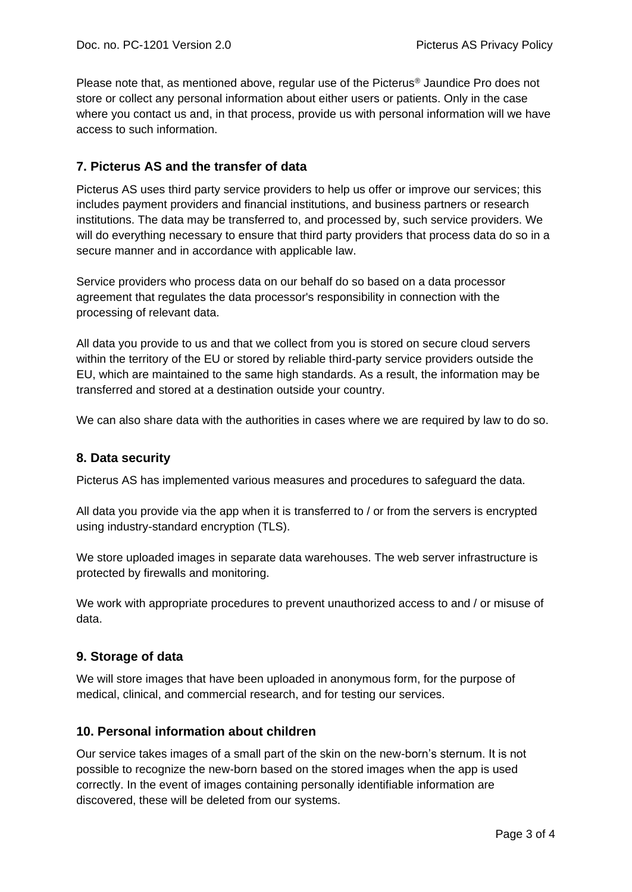Please note that, as mentioned above, regular use of the Picterus® Jaundice Pro does not store or collect any personal information about either users or patients. Only in the case where you contact us and, in that process, provide us with personal information will we have access to such information.

# **7. Picterus AS and the transfer of data**

Picterus AS uses third party service providers to help us offer or improve our services; this includes payment providers and financial institutions, and business partners or research institutions. The data may be transferred to, and processed by, such service providers. We will do everything necessary to ensure that third party providers that process data do so in a secure manner and in accordance with applicable law.

Service providers who process data on our behalf do so based on a data processor agreement that regulates the data processor's responsibility in connection with the processing of relevant data.

All data you provide to us and that we collect from you is stored on secure cloud servers within the territory of the EU or stored by reliable third-party service providers outside the EU, which are maintained to the same high standards. As a result, the information may be transferred and stored at a destination outside your country.

We can also share data with the authorities in cases where we are required by law to do so.

#### **8. Data security**

Picterus AS has implemented various measures and procedures to safeguard the data.

All data you provide via the app when it is transferred to / or from the servers is encrypted using industry-standard encryption (TLS).

We store uploaded images in separate data warehouses. The web server infrastructure is protected by firewalls and monitoring.

We work with appropriate procedures to prevent unauthorized access to and / or misuse of data.

#### **9. Storage of data**

We will store images that have been uploaded in anonymous form, for the purpose of medical, clinical, and commercial research, and for testing our services.

#### **10. Personal information about children**

Our service takes images of a small part of the skin on the new-born's sternum. It is not possible to recognize the new-born based on the stored images when the app is used correctly. In the event of images containing personally identifiable information are discovered, these will be deleted from our systems.